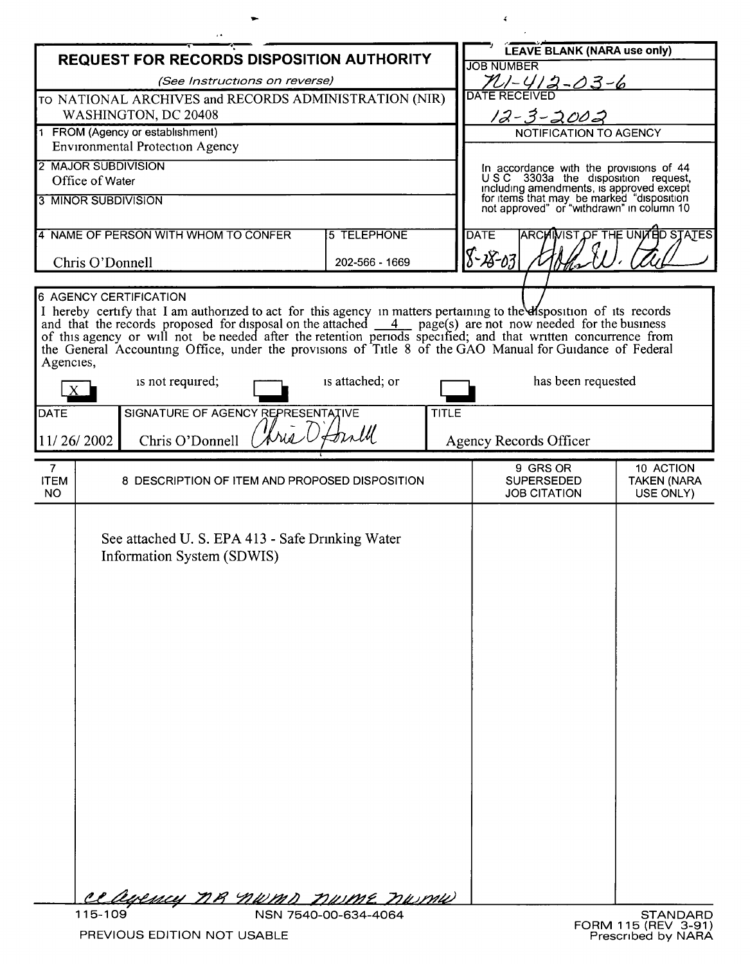| <b>REQUEST FOR RECORDS DISPOSITION AUTHORITY</b>                                                                                                                                                                                                                                                                                                                                                                                                                                                                                                                                      |                                                                                                                      |    |                      |                                                                                                                                    | LEAVE BLANK (NARA use only)<br><b>JOB NUMBER</b>                              |                                              |  |
|---------------------------------------------------------------------------------------------------------------------------------------------------------------------------------------------------------------------------------------------------------------------------------------------------------------------------------------------------------------------------------------------------------------------------------------------------------------------------------------------------------------------------------------------------------------------------------------|----------------------------------------------------------------------------------------------------------------------|----|----------------------|------------------------------------------------------------------------------------------------------------------------------------|-------------------------------------------------------------------------------|----------------------------------------------|--|
| (See Instructions on reverse)                                                                                                                                                                                                                                                                                                                                                                                                                                                                                                                                                         |                                                                                                                      |    |                      |                                                                                                                                    | <u>PU-412-03-6</u>                                                            |                                              |  |
| TO NATIONAL ARCHIVES and RECORDS ADMINISTRATION (NIR)<br>WASHINGTON, DC 20408                                                                                                                                                                                                                                                                                                                                                                                                                                                                                                         |                                                                                                                      |    |                      |                                                                                                                                    | <b>DATE RECEIVEI</b>                                                          |                                              |  |
| 1 FROM (Agency or establishment)                                                                                                                                                                                                                                                                                                                                                                                                                                                                                                                                                      |                                                                                                                      |    |                      |                                                                                                                                    | $12 - 3 - 2002$<br>NOTIFICATION TO AGENCY                                     |                                              |  |
| <b>Environmental Protection Agency</b>                                                                                                                                                                                                                                                                                                                                                                                                                                                                                                                                                |                                                                                                                      |    |                      |                                                                                                                                    |                                                                               |                                              |  |
| 2 MAJOR SUBDIVISION                                                                                                                                                                                                                                                                                                                                                                                                                                                                                                                                                                   |                                                                                                                      |    |                      |                                                                                                                                    | In accordance with the provisions of 44<br>USC 3303a the disposition request, |                                              |  |
| Office of Water<br><b>3 MINOR SUBDIVISION</b>                                                                                                                                                                                                                                                                                                                                                                                                                                                                                                                                         |                                                                                                                      |    |                      | including amendments, is approved except<br>for items that may be marked "disposition<br>not approved" or "withdrawn" in column 10 |                                                                               |                                              |  |
|                                                                                                                                                                                                                                                                                                                                                                                                                                                                                                                                                                                       |                                                                                                                      |    |                      |                                                                                                                                    |                                                                               |                                              |  |
| 4 NAME OF PERSON WITH WHOM TO CONFER                                                                                                                                                                                                                                                                                                                                                                                                                                                                                                                                                  |                                                                                                                      |    | <b>5 TELEPHONE</b>   |                                                                                                                                    | <b>ARCHIVIST OF THE UNITED STATES</b><br><b>DATE</b><br>8-28-03               |                                              |  |
| Chris O'Donnell                                                                                                                                                                                                                                                                                                                                                                                                                                                                                                                                                                       |                                                                                                                      |    | 202-566 - 1669       |                                                                                                                                    |                                                                               |                                              |  |
| <b>6 AGENCY CERTIFICATION</b><br>I hereby certify that I am authorized to act for this agency in matters pertaining to the else position of its records<br>and that the records proposed for disposal on the attached $\frac{4}{\sqrt{2}}$ page(s) are not now needed for the business of this agency or will not be needed after the retention periods specified; and that written concurrence<br>the General Accounting Office, under the provisions of Title 8 of the GAO Manual for Guidance of Federal<br>Agencies,<br>is not required;<br>is attached; or<br>has been requested |                                                                                                                      |    |                      |                                                                                                                                    |                                                                               |                                              |  |
| <b>DATE</b>                                                                                                                                                                                                                                                                                                                                                                                                                                                                                                                                                                           | SIGNATURE OF AGENCY REPRESENTATIVE                                                                                   |    |                      | <b>TITLE</b>                                                                                                                       |                                                                               |                                              |  |
|                                                                                                                                                                                                                                                                                                                                                                                                                                                                                                                                                                                       |                                                                                                                      | wi | trill                |                                                                                                                                    |                                                                               |                                              |  |
| 11/26/2002                                                                                                                                                                                                                                                                                                                                                                                                                                                                                                                                                                            | Chris O'Donnell                                                                                                      |    |                      |                                                                                                                                    | <b>Agency Records Officer</b>                                                 |                                              |  |
| $\overline{7}$<br><b>ITEM</b><br>NO.                                                                                                                                                                                                                                                                                                                                                                                                                                                                                                                                                  | 8 DESCRIPTION OF ITEM AND PROPOSED DISPOSITION                                                                       |    |                      |                                                                                                                                    | 9 GRS OR<br><b>SUPERSEDED</b><br><b>JOB CITATION</b>                          | 10 ACTION<br><b>TAKEN (NARA</b><br>USE ONLY) |  |
| 115-109                                                                                                                                                                                                                                                                                                                                                                                                                                                                                                                                                                               | See attached U. S. EPA 413 - Safe Drinking Water<br>Information System (SDWIS)<br><u>ce agency ne nwms nume numu</u> |    | NSN 7540-00-634-4064 |                                                                                                                                    |                                                                               | <b>STANDARD</b>                              |  |

 $\mathcal{L}(\mathcal{L})$ 

 $\sim$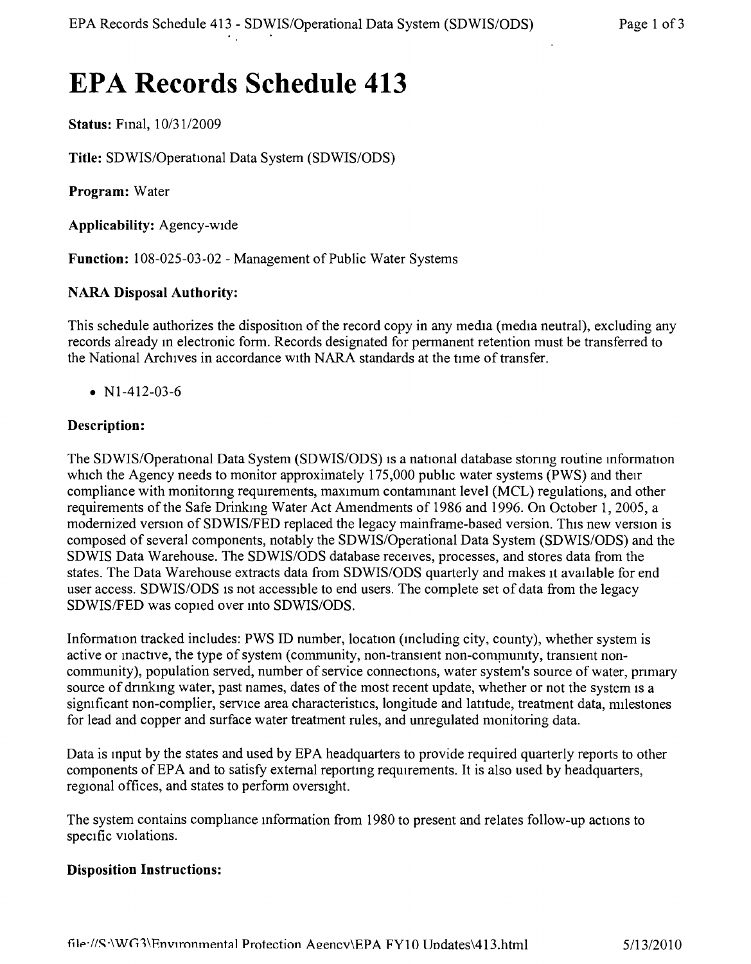# **EPA Records Schedule 413**

**Status:** Final,  $10/31/2009$ 

Title: SDWIS/Operational Data System (SDWIS/ODS)

**Program:** Water

**Applicability:** Agency-wide

**Function:** 108-025-03-02 - Management of Public Water Systems

# **NARA Disposal Authority:**

This schedule authorizes the disposition of the record copy in any media (media neutral), excluding any records already m electronic form. Records designated for permanent retention must be transferred to the National Archives in accordance With NARA standards at the time of transfer.

• N<sub>1</sub>-4<sub>12</sub>-03-6

# **Description:**

The SDWIS/Operational Data System (SDWIS/ODS) is a national database storing routine information which the Agency needs to monitor approximately 175,000 public water systems (PWS) and their compliance with monitoring requirements, maximum contaminant level (MCL) regulations, and other requirements of the Safe Drinking Water Act Amendments of 1986 and 1996. On October 1,2005, a modernized version of SDWIS/FED replaced the legacy mainframe-based version. This new version is composed of several components, notably the SDWIS/Operational Data System *(SDWIS/ODS)* and the SDWIS Data Warehouse. The *SDWIS/ODS* database receives, processes, and stores data from the states. The Data Warehouse extracts data from *SDWIS/ODS* quarterly and makes It available for end user access. SDWIS/ODS is not accessible to end users. The complete set of data from the legacy SDWISIFED was copied over into *SDWIS/ODS.*

Information tracked includes: PWS ID number, location (including city, county), whether system is active or mactive, the type of system (community, non-transient non-community, transient noncommunity), population served, number of service connections, water system's source of water, primary source of drinking water, past names, dates of the most recent update, whether or not the system is a sigmficant non-complier, service area characteristics, longitude and latitude, treatment data, milestones for lead and copper and surface water treatment rules, and unregulated monitoring data.

Data is input by the states and used by EPA headquarters to provide required quarterly reports to other components of EPA and to satisfy external reporting requirements, It is also used by headquarters, regional offices, and states to perform oversight.

The system contains comphance information from 1980 to present and relates follow-up actions to specific Violations.

## **Disposition Instructions:**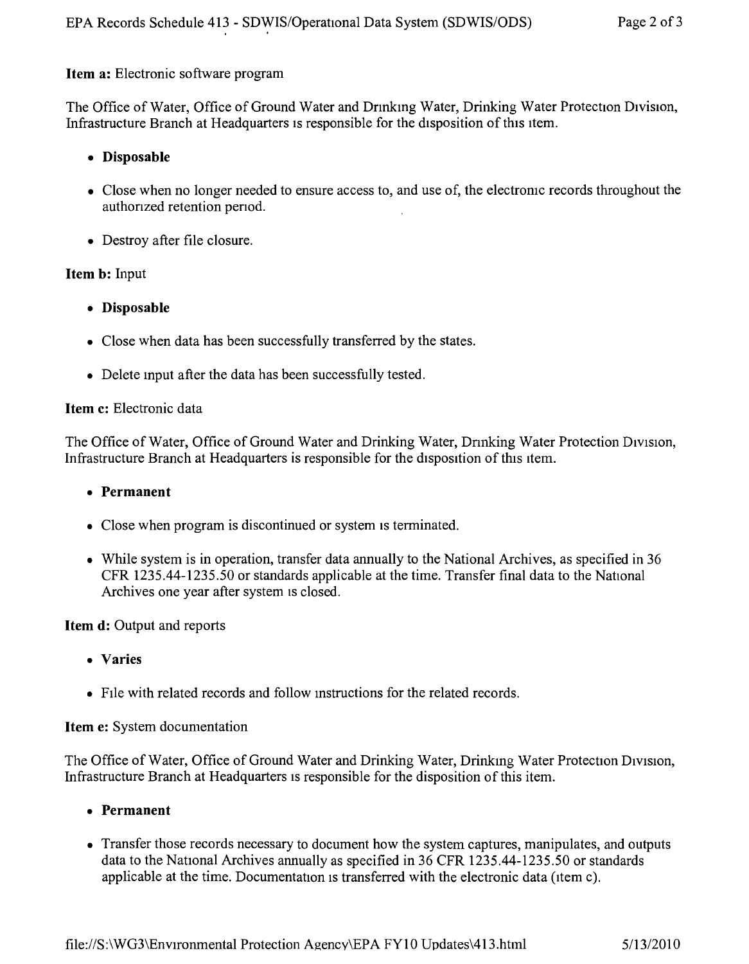## Item a: Electronic software program

The Office of Water, Office of Ground Water and Drinking Water, Drinking Water Protection Division, Infrastructure Branch at Headquarters is responsible for the disposition of this item.

## • Disposable

- Close when no longer needed to ensure access to, and use of, the electronic records throughout the authonzed retention penod.
- Destroy after file closure.

## Item b: Input

- • Disposable
- Close when data has been successfully transferred by the states.
- Delete mput after the data has been successfully tested.

#### Item c: Electronic data

The Office of Water, Office of Ground Water and Drinking Water, Drinking Water Protection Division, Infrastructure Branch at Headquarters is responsible for the disposition of this item.

#### • Permanent

- Close when program is discontinued or system is terminated.
- While system is in operation, transfer data annually to the National Archives, as specified in 36 CFR 1235.44-1235.50 or standards applicable at the time. Transfer final data to the National Archives one year after system is closed.

#### Item **d**: Output and reports

- • Varies
- File with related records and follow instructions for the related records.

#### Item e: System documentation

The Office of Water, Office of Ground Water and Drinking Water, Drinkmg Water Protection DIvISIOn, Infrastructure Branch at Headquarters is responsible for the disposition of this item.

- • Permanent
- Transfer those records necessary to document how the system captures, manipulates, and outputs data to the National Archives annually as specified in 36 CFR 1235.44-1235.50 or standards applicable at the time. Documentation is transferred with the electronic data (item c).